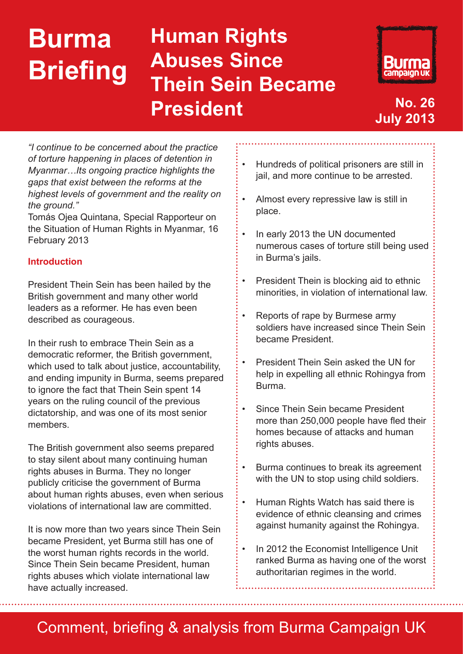# **Burma Briefing**

## **Human Rights Abuses Since Thein Sein Became President No. 26**



**July 2013**

*"I continue to be concerned about the practice of torture happening in places of detention in Myanmar…Its ongoing practice highlights the gaps that exist between the reforms at the highest levels of government and the reality on the ground."*

Tomás Ojea Quintana, Special Rapporteur on the Situation of Human Rights in Myanmar, 16 February 2013

#### **Introduction**

President Thein Sein has been hailed by the British government and many other world leaders as a reformer. He has even been described as courageous.

In their rush to embrace Thein Sein as a democratic reformer, the British government, which used to talk about justice, accountability, and ending impunity in Burma, seems prepared to ignore the fact that Thein Sein spent 14 years on the ruling council of the previous dictatorship, and was one of its most senior members.

The British government also seems prepared to stay silent about many continuing human rights abuses in Burma. They no longer publicly criticise the government of Burma about human rights abuses, even when serious violations of international law are committed.

It is now more than two years since Thein Sein became President, yet Burma still has one of the worst human rights records in the world. Since Thein Sein became President, human rights abuses which violate international law have actually increased.

- Hundreds of political prisoners are still in jail, and more continue to be arrested.
- Almost every repressive law is still in place.
- In early 2013 the UN documented numerous cases of torture still being used in Burma's jails.
- President Thein is blocking aid to ethnic minorities, in violation of international law.
- Reports of rape by Burmese army soldiers have increased since Thein Sein became President.
- **President Thein Sein asked the UN for** help in expelling all ethnic Rohingya from Burma.
- Since Thein Sein became President more than 250,000 people have fled their homes because of attacks and human rights abuses.
- Burma continues to break its agreement with the UN to stop using child soldiers.
- • Human Rights Watch has said there is evidence of ethnic cleansing and crimes against humanity against the Rohingya.
- In 2012 the Economist Intelligence Unit ranked Burma as having one of the worst authoritarian regimes in the world.

### Comment, briefing & analysis from Burma Campaign UK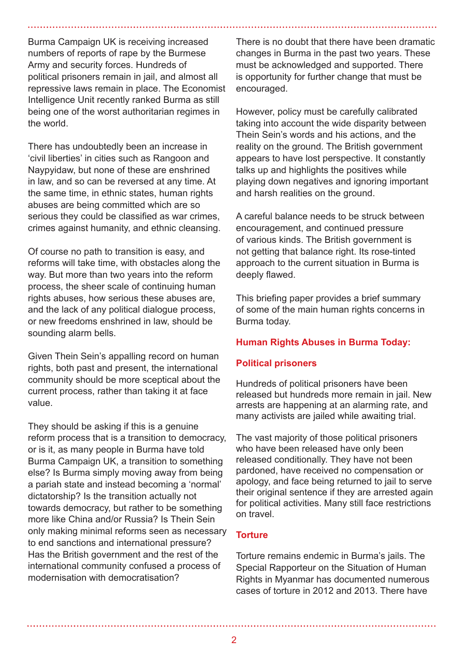Burma Campaign UK is receiving increased numbers of reports of rape by the Burmese Army and security forces. Hundreds of political prisoners remain in jail, and almost all repressive laws remain in place. The Economist Intelligence Unit recently ranked Burma as still being one of the worst authoritarian regimes in the world.

There has undoubtedly been an increase in 'civil liberties' in cities such as Rangoon and Naypyidaw, but none of these are enshrined in law, and so can be reversed at any time. At the same time, in ethnic states, human rights abuses are being committed which are so serious they could be classified as war crimes, crimes against humanity, and ethnic cleansing.

Of course no path to transition is easy, and reforms will take time, with obstacles along the way. But more than two years into the reform process, the sheer scale of continuing human rights abuses, how serious these abuses are, and the lack of any political dialogue process, or new freedoms enshrined in law, should be sounding alarm bells.

Given Thein Sein's appalling record on human rights, both past and present, the international community should be more sceptical about the current process, rather than taking it at face value.

They should be asking if this is a genuine reform process that is a transition to democracy, or is it, as many people in Burma have told Burma Campaign UK, a transition to something else? Is Burma simply moving away from being a pariah state and instead becoming a 'normal' dictatorship? Is the transition actually not towards democracy, but rather to be something more like China and/or Russia? Is Thein Sein only making minimal reforms seen as necessary to end sanctions and international pressure? Has the British government and the rest of the international community confused a process of modernisation with democratisation?

There is no doubt that there have been dramatic changes in Burma in the past two years. These must be acknowledged and supported. There is opportunity for further change that must be encouraged.

However, policy must be carefully calibrated taking into account the wide disparity between Thein Sein's words and his actions, and the reality on the ground. The British government appears to have lost perspective. It constantly talks up and highlights the positives while playing down negatives and ignoring important and harsh realities on the ground.

A careful balance needs to be struck between encouragement, and continued pressure of various kinds. The British government is not getting that balance right. Its rose-tinted approach to the current situation in Burma is deeply flawed.

This briefing paper provides a brief summary of some of the main human rights concerns in Burma today.

#### **Human Rights Abuses in Burma Today:**

#### **Political prisoners**

Hundreds of political prisoners have been released but hundreds more remain in jail. New arrests are happening at an alarming rate, and many activists are jailed while awaiting trial.

The vast majority of those political prisoners who have been released have only been released conditionally. They have not been pardoned, have received no compensation or apology, and face being returned to jail to serve their original sentence if they are arrested again for political activities. Many still face restrictions on travel.

#### **Torture**

Torture remains endemic in Burma's jails. The Special Rapporteur on the Situation of Human Rights in Myanmar has documented numerous cases of torture in 2012 and 2013. There have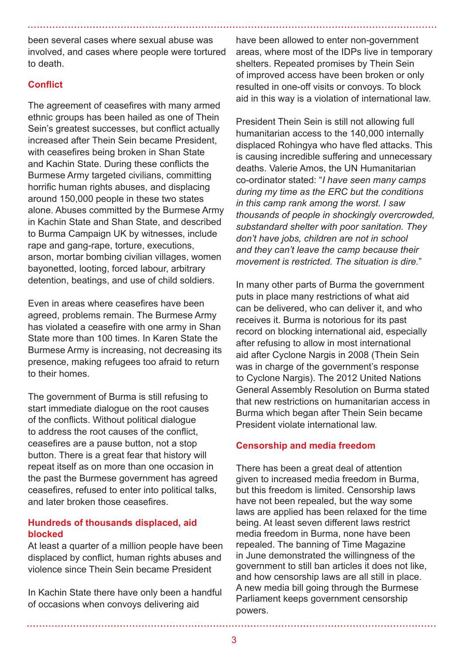been several cases where sexual abuse was involved, and cases where people were tortured to death.

#### **Conflict**

The agreement of ceasefires with many armed ethnic groups has been hailed as one of Thein Sein's greatest successes, but conflict actually increased after Thein Sein became President, with ceasefires being broken in Shan State and Kachin State. During these conflicts the Burmese Army targeted civilians, committing horrific human rights abuses, and displacing around 150,000 people in these two states alone. Abuses committed by the Burmese Army in Kachin State and Shan State, and described to Burma Campaign UK by witnesses, include rape and gang-rape, torture, executions, arson, mortar bombing civilian villages, women bayonetted, looting, forced labour, arbitrary detention, beatings, and use of child soldiers.

Even in areas where ceasefires have been agreed, problems remain. The Burmese Army has violated a ceasefire with one army in Shan State more than 100 times. In Karen State the Burmese Army is increasing, not decreasing its presence, making refugees too afraid to return to their homes.

The government of Burma is still refusing to start immediate dialogue on the root causes of the conflicts. Without political dialogue to address the root causes of the conflict, ceasefires are a pause button, not a stop button. There is a great fear that history will repeat itself as on more than one occasion in the past the Burmese government has agreed ceasefires, refused to enter into political talks, and later broken those ceasefires.

#### **Hundreds of thousands displaced, aid blocked**

At least a quarter of a million people have been displaced by conflict, human rights abuses and violence since Thein Sein became President

In Kachin State there have only been a handful of occasions when convoys delivering aid

have been allowed to enter non-government areas, where most of the IDPs live in temporary shelters. Repeated promises by Thein Sein of improved access have been broken or only resulted in one-off visits or convoys. To block aid in this way is a violation of international law.

President Thein Sein is still not allowing full humanitarian access to the 140,000 internally displaced Rohingya who have fled attacks. This is causing incredible suffering and unnecessary deaths. Valerie Amos, the UN Humanitarian co-ordinator stated: "*I have seen many camps during my time as the ERC but the conditions in this camp rank among the worst. I saw thousands of people in shockingly overcrowded, substandard shelter with poor sanitation. They don't have jobs, children are not in school and they can't leave the camp because their movement is restricted. The situation is dire.*"

In many other parts of Burma the government puts in place many restrictions of what aid can be delivered, who can deliver it, and who receives it. Burma is notorious for its past record on blocking international aid, especially after refusing to allow in most international aid after Cyclone Nargis in 2008 (Thein Sein was in charge of the government's response to Cyclone Nargis). The 2012 United Nations General Assembly Resolution on Burma stated that new restrictions on humanitarian access in Burma which began after Thein Sein became President violate international law.

#### **Censorship and media freedom**

There has been a great deal of attention given to increased media freedom in Burma, but this freedom is limited. Censorship laws have not been repealed, but the way some laws are applied has been relaxed for the time being. At least seven different laws restrict media freedom in Burma, none have been repealed. The banning of Time Magazine in June demonstrated the willingness of the government to still ban articles it does not like, and how censorship laws are all still in place. A new media bill going through the Burmese Parliament keeps government censorship powers.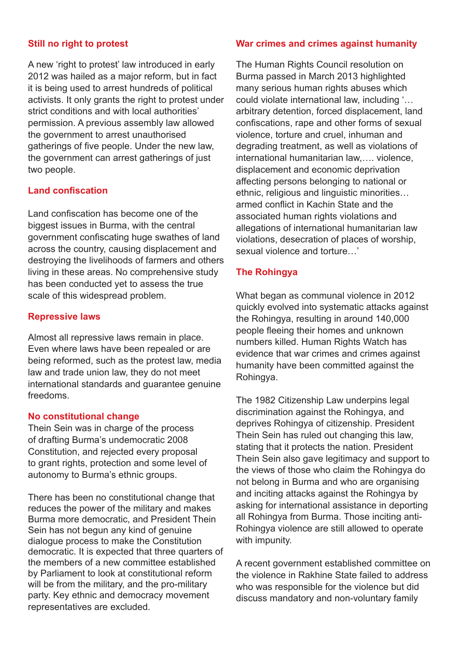#### **Still no right to protest**

A new 'right to protest' law introduced in early 2012 was hailed as a major reform, but in fact it is being used to arrest hundreds of political activists. It only grants the right to protest under strict conditions and with local authorities' permission. A previous assembly law allowed the government to arrest unauthorised gatherings of five people. Under the new law, the government can arrest gatherings of just two people.

#### **Land confiscation**

Land confiscation has become one of the biggest issues in Burma, with the central government confiscating huge swathes of land across the country, causing displacement and destroying the livelihoods of farmers and others living in these areas. No comprehensive study has been conducted yet to assess the true scale of this widespread problem.

#### **Repressive laws**

Almost all repressive laws remain in place. Even where laws have been repealed or are being reformed, such as the protest law, media law and trade union law, they do not meet international standards and guarantee genuine freedoms.

#### **No constitutional change**

Thein Sein was in charge of the process of drafting Burma's undemocratic 2008 Constitution, and rejected every proposal to grant rights, protection and some level of autonomy to Burma's ethnic groups.

There has been no constitutional change that reduces the power of the military and makes Burma more democratic, and President Thein Sein has not begun any kind of genuine dialogue process to make the Constitution democratic. It is expected that three quarters of the members of a new committee established by Parliament to look at constitutional reform will be from the military, and the pro-military party. Key ethnic and democracy movement representatives are excluded.

#### **War crimes and crimes against humanity**

The Human Rights Council resolution on Burma passed in March 2013 highlighted many serious human rights abuses which could violate international law, including '… arbitrary detention, forced displacement, land confiscations, rape and other forms of sexual violence, torture and cruel, inhuman and degrading treatment, as well as violations of international humanitarian law,…. violence, displacement and economic deprivation affecting persons belonging to national or ethnic, religious and linguistic minorities… armed conflict in Kachin State and the associated human rights violations and allegations of international humanitarian law violations, desecration of places of worship, sexual violence and torture…'

#### **The Rohingya**

What began as communal violence in 2012 quickly evolved into systematic attacks against the Rohingya, resulting in around 140,000 people fleeing their homes and unknown numbers killed. Human Rights Watch has evidence that war crimes and crimes against humanity have been committed against the Rohingya.

The 1982 Citizenship Law underpins legal discrimination against the Rohingya, and deprives Rohingya of citizenship. President Thein Sein has ruled out changing this law, stating that it protects the nation. President Thein Sein also gave legitimacy and support to the views of those who claim the Rohingya do not belong in Burma and who are organising and inciting attacks against the Rohingya by asking for international assistance in deporting all Rohingya from Burma. Those inciting anti-Rohingya violence are still allowed to operate with impunity.

A recent government established committee on the violence in Rakhine State failed to address who was responsible for the violence but did discuss mandatory and non-voluntary family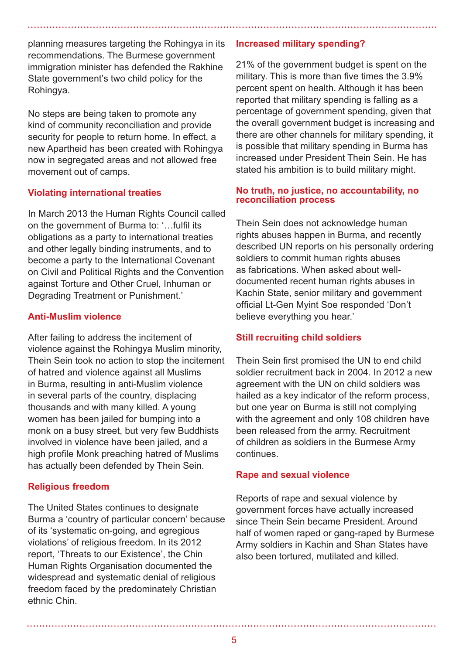planning measures targeting the Rohingya in its recommendations. The Burmese government immigration minister has defended the Rakhine State government's two child policy for the Rohingya.

No steps are being taken to promote any kind of community reconciliation and provide security for people to return home. In effect, a new Apartheid has been created with Rohingya now in segregated areas and not allowed free movement out of camps.

#### **Violating international treaties**

In March 2013 the Human Rights Council called on the government of Burma to: '…fulfil its obligations as a party to international treaties and other legally binding instruments, and to become a party to the International Covenant on Civil and Political Rights and the Convention against Torture and Other Cruel, Inhuman or Degrading Treatment or Punishment.'

#### **Anti-Muslim violence**

After failing to address the incitement of violence against the Rohingya Muslim minority, Thein Sein took no action to stop the incitement of hatred and violence against all Muslims in Burma, resulting in anti-Muslim violence in several parts of the country, displacing thousands and with many killed. A young women has been jailed for bumping into a monk on a busy street, but very few Buddhists involved in violence have been jailed, and a high profile Monk preaching hatred of Muslims has actually been defended by Thein Sein.

#### **Religious freedom**

The United States continues to designate Burma a 'country of particular concern' because of its 'systematic on-going, and egregious violations' of religious freedom. In its 2012 report, 'Threats to our Existence', the Chin Human Rights Organisation documented the widespread and systematic denial of religious freedom faced by the predominately Christian ethnic Chin.

#### **Increased military spending?**

21% of the government budget is spent on the military. This is more than five times the 3.9% percent spent on health. Although it has been reported that military spending is falling as a percentage of government spending, given that the overall government budget is increasing and there are other channels for military spending, it is possible that military spending in Burma has increased under President Thein Sein. He has stated his ambition is to build military might.

#### **No truth, no justice, no accountability, no reconciliation process**

Thein Sein does not acknowledge human rights abuses happen in Burma, and recently described UN reports on his personally ordering soldiers to commit human rights abuses as fabrications. When asked about welldocumented recent human rights abuses in Kachin State, senior military and government official Lt-Gen Myint Soe responded 'Don't believe everything you hear.'

#### **Still recruiting child soldiers**

Thein Sein first promised the UN to end child soldier recruitment back in 2004. In 2012 a new agreement with the UN on child soldiers was hailed as a key indicator of the reform process, but one year on Burma is still not complying with the agreement and only 108 children have been released from the army. Recruitment of children as soldiers in the Burmese Army continues.

#### **Rape and sexual violence**

Reports of rape and sexual violence by government forces have actually increased since Thein Sein became President. Around half of women raped or gang-raped by Burmese Army soldiers in Kachin and Shan States have also been tortured, mutilated and killed.